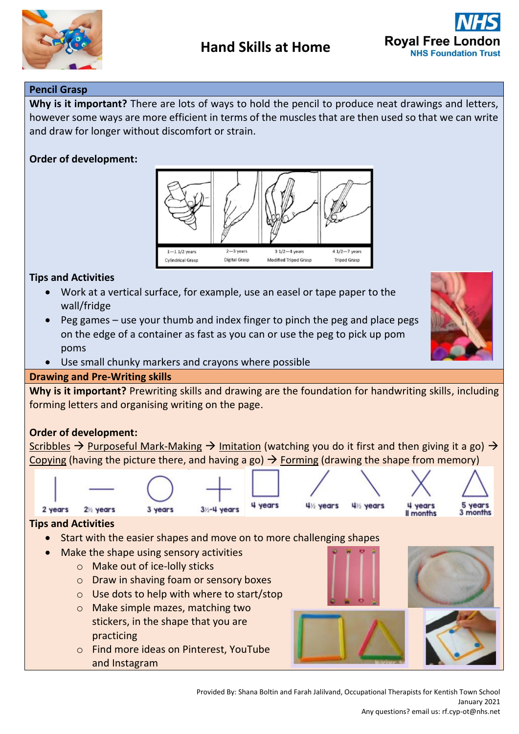



## **Pencil Grasp**

**Why is it important?** There are lots of ways to hold the pencil to produce neat drawings and letters, however some ways are more efficient in terms of the muscles that are then used so that we can write and draw for longer without discomfort or strain.

# **Order of development:**



## **Tips and Activities**

- Work at a vertical surface, for example, use an easel or tape paper to the wall/fridge
- Peg games use your thumb and index finger to pinch the peg and place pegs on the edge of a container as fast as you can or use the peg to pick up pom poms
- Use small chunky markers and crayons where possible

## **Drawing and Pre-Writing skills**

**Why is it important?** Prewriting skills and drawing are the foundation for handwriting skills, including forming letters and organising writing on the page.

## **Order of development:**

Scribbles  $\rightarrow$  Purposeful Mark-Making  $\rightarrow$  Imitation (watching you do it first and then giving it a go)  $\rightarrow$ Copying (having the picture there, and having a go)  $\rightarrow$  Forming (drawing the shape from memory)



and Instagram

Provided By: Shana Boltin and Farah Jalilvand, Occupational Therapists for Kentish Town School January 2021 Any questions? email us: rf.cyp-ot@nhs.net